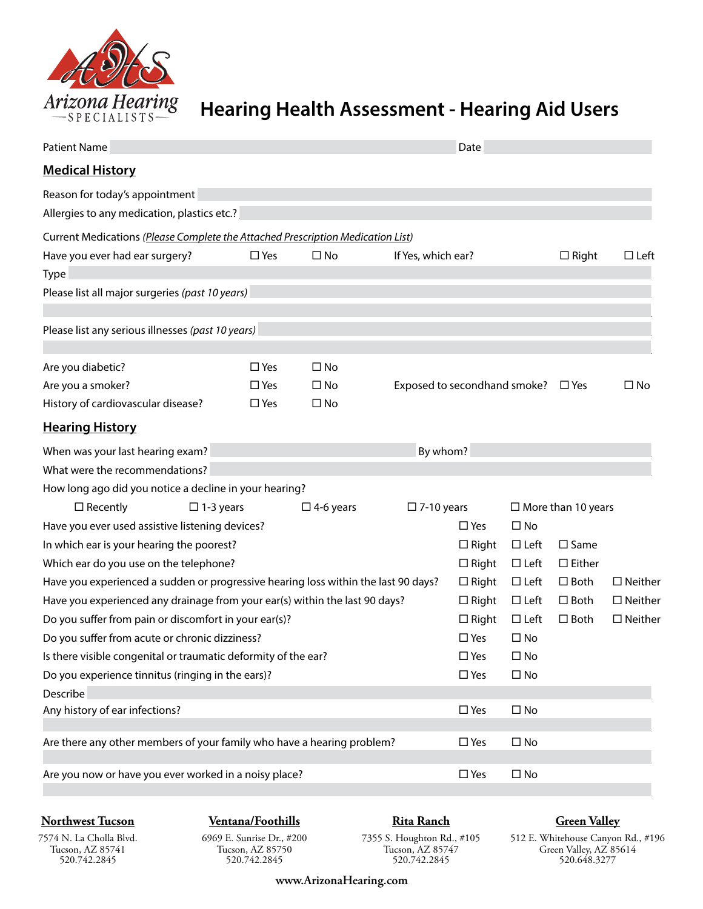

# **Hearing Health Assessment - Hearing Aid Users**

| <b>Patient Name</b>                                                                |               |                  |                              |               | Date         |                           |                   |  |
|------------------------------------------------------------------------------------|---------------|------------------|------------------------------|---------------|--------------|---------------------------|-------------------|--|
| <b>Medical History</b>                                                             |               |                  |                              |               |              |                           |                   |  |
| Reason for today's appointment<br>Allergies to any medication, plastics etc.?      |               |                  |                              |               |              |                           |                   |  |
| Current Medications (Please Complete the Attached Prescription Medication List)    |               |                  |                              |               |              |                           |                   |  |
| Have you ever had ear surgery?                                                     | $\square$ Yes | $\square$ No     | If Yes, which ear?           |               |              | $\Box$ Right              | $\Box$ Left       |  |
| <b>Type</b>                                                                        |               |                  |                              |               |              |                           |                   |  |
| Please list all major surgeries (past 10 years)                                    |               |                  |                              |               |              |                           |                   |  |
| Please list any serious illnesses (past 10 years)                                  |               |                  |                              |               |              |                           |                   |  |
| Are you diabetic?                                                                  | $\square$ Yes | $\square$ No     |                              |               |              |                           |                   |  |
| Are you a smoker?                                                                  | $\Box$ Yes    | $\square$ No     | Exposed to secondhand smoke? |               |              | $\square$ Yes             | $\square$ No      |  |
| History of cardiovascular disease?                                                 | $\Box$ Yes    | $\square$ No     |                              |               |              |                           |                   |  |
| <b>Hearing History</b>                                                             |               |                  |                              |               |              |                           |                   |  |
| When was your last hearing exam?                                                   |               |                  | By whom?                     |               |              |                           |                   |  |
| What were the recommendations?                                                     |               |                  |                              |               |              |                           |                   |  |
| How long ago did you notice a decline in your hearing?                             |               |                  |                              |               |              |                           |                   |  |
| $\Box$ Recently<br>$\square$ 1-3 years                                             |               | $\Box$ 4-6 years | $\square$ 7-10 years         |               |              | $\Box$ More than 10 years |                   |  |
| Have you ever used assistive listening devices?                                    |               |                  |                              | $\square$ Yes | $\square$ No |                           |                   |  |
| In which ear is your hearing the poorest?                                          |               |                  |                              | $\Box$ Right  | $\Box$ Left  | $\square$ Same            |                   |  |
| Which ear do you use on the telephone?                                             |               |                  |                              | $\Box$ Right  | $\Box$ Left  | $\square$ Either          |                   |  |
| Have you experienced a sudden or progressive hearing loss within the last 90 days? |               |                  |                              | $\Box$ Right  | $\Box$ Left  | $\square$ Both            | $\Box$ Neither    |  |
| Have you experienced any drainage from your ear(s) within the last 90 days?        |               |                  |                              | $\Box$ Right  | $\Box$ Left  | $\Box$ Both               | $\square$ Neither |  |
| Do you suffer from pain or discomfort in your ear(s)?                              |               |                  |                              | $\Box$ Right  | $\Box$ Left  | $\Box$ Both               | $\Box$ Neither    |  |
| Do you suffer from acute or chronic dizziness?                                     |               |                  |                              | $\square$ Yes | $\Box$ No    |                           |                   |  |
| Is there visible congenital or traumatic deformity of the ear?                     |               |                  |                              | $\square$ Yes | $\square$ No |                           |                   |  |
| Do you experience tinnitus (ringing in the ears)?                                  |               |                  |                              | $\square$ Yes | $\square$ No |                           |                   |  |
| Describe                                                                           |               |                  |                              |               |              |                           |                   |  |
| Any history of ear infections?                                                     |               |                  |                              | $\square$ Yes | $\square$ No |                           |                   |  |
| Are there any other members of your family who have a hearing problem?             |               |                  |                              | $\square$ Yes | $\square$ No |                           |                   |  |
| Are you now or have you ever worked in a noisy place?                              |               |                  |                              | $\square$ Yes | $\square$ No |                           |                   |  |

### **Northwest Tucson**

**Ventana/Foothills**

**Rita Ranch**

### **Green Valley**

7574 N. La Cholla Blvd. Tucson, AZ 85741 520.742.2845

6969 E. Sunrise Dr., #200 Tucson, AZ 85750 520.742.2845

7355 S. Houghton Rd., #105 Tucson, AZ 85747 520.742.2845

512 E. Whitehouse Canyon Rd., #196 Green Valley, AZ 85614 520.648.3277

**www.ArizonaHearing.com**